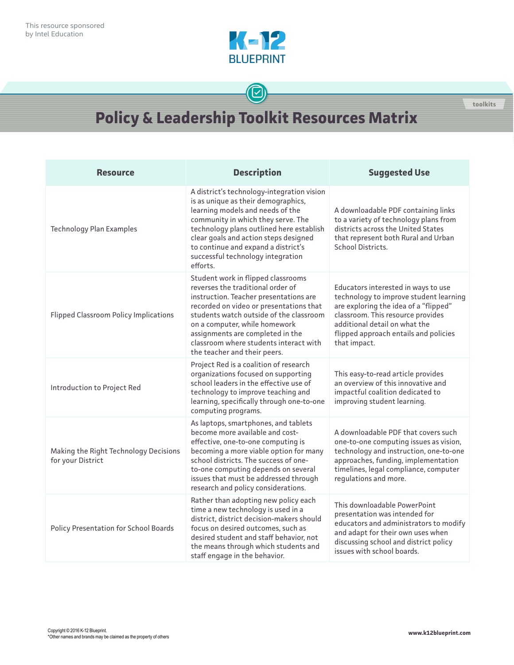

## $\bigcirc$

## **Policy & Leadership Toolkit Resources Matrix**

| <b>Resource</b>                                            | <b>Description</b>                                                                                                                                                                                                                                                                                                                                     | <b>Suggested Use</b>                                                                                                                                                                                                                                  |
|------------------------------------------------------------|--------------------------------------------------------------------------------------------------------------------------------------------------------------------------------------------------------------------------------------------------------------------------------------------------------------------------------------------------------|-------------------------------------------------------------------------------------------------------------------------------------------------------------------------------------------------------------------------------------------------------|
| <b>Technology Plan Examples</b>                            | A district's technology-integration vision<br>is as unique as their demographics,<br>learning models and needs of the<br>community in which they serve. The<br>technology plans outlined here establish<br>clear goals and action steps designed<br>to continue and expand a district's<br>successful technology integration<br>efforts.               | A downloadable PDF containing links<br>to a variety of technology plans from<br>districts across the United States<br>that represent both Rural and Urban<br>School Districts.                                                                        |
| <b>Flipped Classroom Policy Implications</b>               | Student work in flipped classrooms<br>reverses the traditional order of<br>instruction. Teacher presentations are<br>recorded on video or presentations that<br>students watch outside of the classroom<br>on a computer, while homework<br>assignments are completed in the<br>classroom where students interact with<br>the teacher and their peers. | Educators interested in ways to use<br>technology to improve student learning<br>are exploring the idea of a "flipped"<br>classroom. This resource provides<br>additional detail on what the<br>flipped approach entails and policies<br>that impact. |
| Introduction to Project Red                                | Project Red is a coalition of research<br>organizations focused on supporting<br>school leaders in the effective use of<br>technology to improve teaching and<br>learning, specifically through one-to-one<br>computing programs.                                                                                                                      | This easy-to-read article provides<br>an overview of this innovative and<br>impactful coalition dedicated to<br>improving student learning.                                                                                                           |
| Making the Right Technology Decisions<br>for your District | As laptops, smartphones, and tablets<br>become more available and cost-<br>effective, one-to-one computing is<br>becoming a more viable option for many<br>school districts. The success of one-<br>to-one computing depends on several<br>issues that must be addressed through<br>research and policy considerations.                                | A downloadable PDF that covers such<br>one-to-one computing issues as vision,<br>technology and instruction, one-to-one<br>approaches, funding, implementation<br>timelines, legal compliance, computer<br>regulations and more.                      |
| <b>Policy Presentation for School Boards</b>               | Rather than adopting new policy each<br>time a new technology is used in a<br>district, district decision-makers should<br>focus on desired outcomes, such as<br>desired student and staff behavior, not<br>the means through which students and<br>staff engage in the behavior.                                                                      | This downloadable PowerPoint<br>presentation was intended for<br>educators and administrators to modify<br>and adapt for their own uses when<br>discussing school and district policy<br>issues with school boards.                                   |

**toolkits**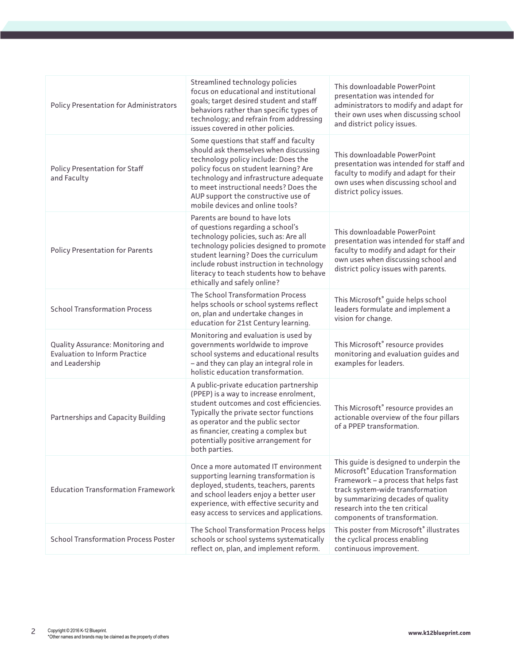| <b>Policy Presentation for Administrators</b>                                               | Streamlined technology policies<br>focus on educational and institutional<br>goals; target desired student and staff<br>behaviors rather than specific types of                                                                                                                                                              | This downloadable PowerPoint<br>presentation was intended for<br>administrators to modify and adapt for                                                                                                                                                            |
|---------------------------------------------------------------------------------------------|------------------------------------------------------------------------------------------------------------------------------------------------------------------------------------------------------------------------------------------------------------------------------------------------------------------------------|--------------------------------------------------------------------------------------------------------------------------------------------------------------------------------------------------------------------------------------------------------------------|
|                                                                                             | technology; and refrain from addressing<br>issues covered in other policies.                                                                                                                                                                                                                                                 | their own uses when discussing school<br>and district policy issues.                                                                                                                                                                                               |
| <b>Policy Presentation for Staff</b><br>and Faculty                                         | Some questions that staff and faculty<br>should ask themselves when discussing<br>technology policy include: Does the<br>policy focus on student learning? Are<br>technology and infrastructure adequate<br>to meet instructional needs? Does the<br>AUP support the constructive use of<br>mobile devices and online tools? | This downloadable PowerPoint<br>presentation was intended for staff and<br>faculty to modify and adapt for their<br>own uses when discussing school and<br>district policy issues.                                                                                 |
| <b>Policy Presentation for Parents</b>                                                      | Parents are bound to have lots<br>of questions regarding a school's<br>technology policies, such as: Are all<br>technology policies designed to promote<br>student learning? Does the curriculum<br>include robust instruction in technology<br>literacy to teach students how to behave<br>ethically and safely online?     | This downloadable PowerPoint<br>presentation was intended for staff and<br>faculty to modify and adapt for their<br>own uses when discussing school and<br>district policy issues with parents.                                                                    |
| <b>School Transformation Process</b>                                                        | The School Transformation Process<br>helps schools or school systems reflect<br>on, plan and undertake changes in<br>education for 21st Century learning.                                                                                                                                                                    | This Microsoft <sup>®</sup> guide helps school<br>leaders formulate and implement a<br>vision for change.                                                                                                                                                          |
| Quality Assurance: Monitoring and<br><b>Evaluation to Inform Practice</b><br>and Leadership | Monitoring and evaluation is used by<br>governments worldwide to improve<br>school systems and educational results<br>- and they can play an integral role in<br>holistic education transformation.                                                                                                                          | This Microsoft® resource provides<br>monitoring and evaluation guides and<br>examples for leaders.                                                                                                                                                                 |
| Partnerships and Capacity Building                                                          | A public-private education partnership<br>(PPEP) is a way to increase enrolment,<br>student outcomes and cost efficiencies.<br>Typically the private sector functions<br>as operator and the public sector<br>as financier, creating a complex but<br>potentially positive arrangement for<br>both parties.                  | This Microsoft® resource provides an<br>actionable overview of the four pillars<br>of a PPEP transformation.                                                                                                                                                       |
| <b>Education Transformation Framework</b>                                                   | Once a more automated IT environment<br>supporting learning transformation is<br>deployed, students, teachers, parents<br>and school leaders enjoy a better user<br>experience, with effective security and<br>easy access to services and applications.                                                                     | This guide is designed to underpin the<br>Microsoft® Education Transformation<br>Framework - a process that helps fast<br>track system-wide transformation<br>by summarizing decades of quality<br>research into the ten critical<br>components of transformation. |
| <b>School Transformation Process Poster</b>                                                 | The School Transformation Process helps<br>schools or school systems systematically<br>reflect on, plan, and implement reform.                                                                                                                                                                                               | This poster from Microsoft® illustrates<br>the cyclical process enabling<br>continuous improvement.                                                                                                                                                                |